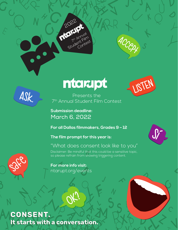



 $\bullet$ 



Presents the 7th Annual Student Film Contest

**Submission deadline:**  March 6, 2022

2022

7th Annual Student Film

Contest

**For all Dallas filmmakers, Grades 9 – 12**

so please refrain from showing triggering content.

**The film prompt for this year is:**

# "What does consent look like to you"

Disclaimer: Be mindful that this could be a sensitive topic,



**For more info visit:**  ntarupt.org/events

# **CONSENT.** It starts with a conversation.

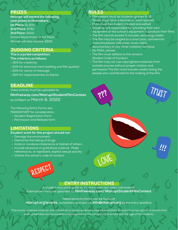### **PRIZES**

**Ntarupt will award the following cash prizes to filmmakers: 1st Place:** \$1,000 **2nd Place:** \$750 **3rd Place:** \$500

School Department of 1st Place Winner will also receive: \$500

# JUDGING CRITERIA

### **This is a juried competition.**

- **The criteria is as follows:**
- 30% for creativity
- 20% for technical merit (editing and film quality)
- 20% for clarity of message
- 30% for responsiveness to theme

### **DEADLINE**

Video entries must be uploaded to:

**filmfreeway.com/NtaruptStudentFilmContest** by 11:59pm on March 6, 2022

The following Entry Forms are MANDATORY for consideration:

- Student Registration Form
- Permission and Release form

# LIMITATIONS

#### **Student work for this project should not:**

- Damage the environment
- Glamorize the taking of drugs
- Incite or condone intolerance or hatred of others
- Include excessive or gratuitous violence -Make reference to, or represent, explicit sexual activity
- Violate the school's code of conduct

REsPEcT

# RULES

- Filmmakers must be students grades 9-12
- Teams must have a teacher or adult sponsor
- Films must be student created and edited
- Students are responsible for providing their own equipment or the school's equipment to produce their films
- The film cannot exceed 3 minutes, excluding credits
- The film may be staged as a short play, commercial, news broadcast, talk show, music video,
- documentary or any other creative narrative
- No PSAs, please
- The film must adhere to the school's Student Code of Conduct
- The film may not use copyrighted materials from outside sources without proper citation and permission The film must include credits listing the people who contributed to the making of the film



**Lower** 

Trust



# ENTRY INSTRUCTIONS

A student may participate on no more than two video submissions. Submissions must be uploaded to: **filmfreeway.com/ NtaruptStudentFilmContest**

Required entry forms can be found at

**ntarupt.org\events,** completed, and sent to: **info@ntarupt.org** by the entry deadline.

\*Previously screened material, which adheres to above guidelines may be submitted. Schools must be vigilant to ensure that work undertaken by the student is appropriate for the context of the school and the age of the students.